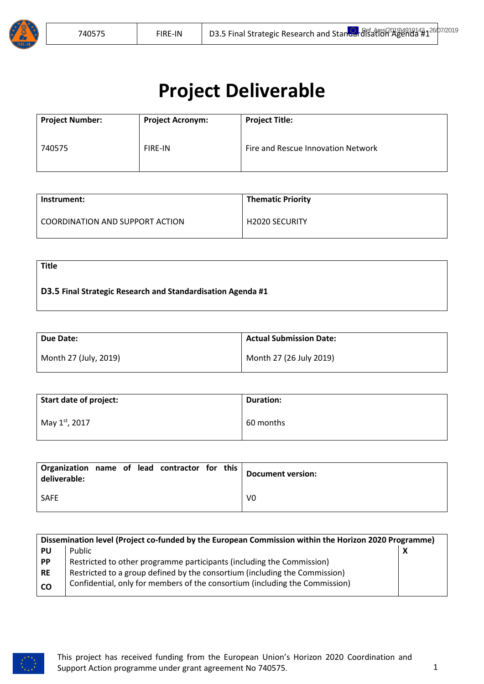

# **Project Deliverable**

| <b>Project Number:</b> | <b>Project Acronym:</b> | <b>Project Title:</b>              |
|------------------------|-------------------------|------------------------------------|
| 740575                 | <b>FIRE-IN</b>          | Fire and Rescue Innovation Network |

| Instrument:                     | <b>Thematic Priority</b> |
|---------------------------------|--------------------------|
| COORDINATION AND SUPPORT ACTION | <b>H2020 SECURITY</b>    |

**Title**

## **D3.5 Final Strategic Research and Standardisation Agenda #1**

| Due Date:             | <b>Actual Submission Date:</b> |
|-----------------------|--------------------------------|
| Month 27 (July, 2019) | Month 27 (26 July 2019)        |

| Start date of project: | <b>Duration:</b> |
|------------------------|------------------|
| May 1st, 2017          | 60 months        |

| Organization name of lead contractor for this<br>deliverable: |  |  |  | Document version: |
|---------------------------------------------------------------|--|--|--|-------------------|
| <b>SAFE</b>                                                   |  |  |  | V0                |

|           | Dissemination level (Project co-funded by the European Commission within the Horizon 2020 Programme) |  |
|-----------|------------------------------------------------------------------------------------------------------|--|
| <b>PU</b> | Public                                                                                               |  |
| <b>PP</b> | Restricted to other programme participants (including the Commission)                                |  |
| <b>RE</b> | Restricted to a group defined by the consortium (including the Commission)                           |  |
| <b>CO</b> | Confidential, only for members of the consortium (including the Commission)                          |  |

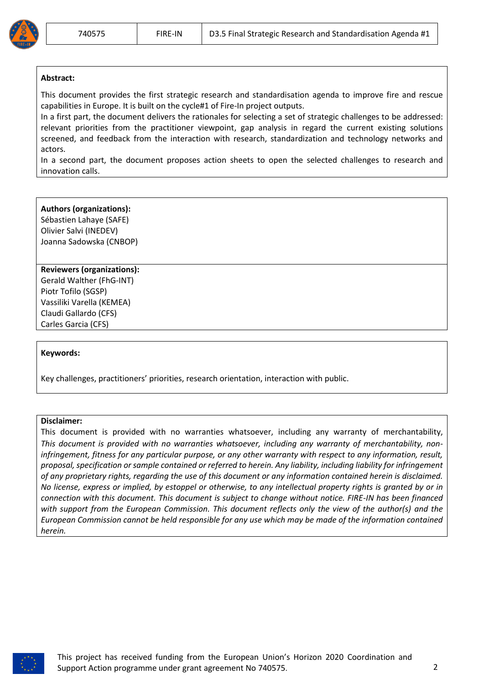#### **Abstract:**

This document provides the first strategic research and standardisation agenda to improve fire and rescue capabilities in Europe. It is built on the cycle#1 of Fire-In project outputs.

In a first part, the document delivers the rationales for selecting a set of strategic challenges to be addressed: relevant priorities from the practitioner viewpoint, gap analysis in regard the current existing solutions screened, and feedback from the interaction with research, standardization and technology networks and actors.

In a second part, the document proposes action sheets to open the selected challenges to research and innovation calls.

#### **Authors (organizations):**

Sébastien Lahaye (SAFE) Olivier Salvi (INEDEV) Joanna Sadowska (CNBOP)

#### **Reviewers (organizations):**

Gerald Walther (FhG-INT) Piotr Tofilo (SGSP) Vassiliki Varella (KEMEA) Claudi Gallardo (CFS) Carles Garcia (CFS)

#### **Keywords:**

Key challenges, practitioners' priorities, research orientation, interaction with public.

#### **Disclaimer:**

This document is provided with no warranties whatsoever, including any warranty of merchantability, This document is provided with no warranties whatsoever, including any warranty of merchantability, noninfringement, fitness for any particular purpose, or any other warranty with respect to any information, result, proposal, specification or sample contained or referred to herein. Any liability, including liability for infringement of any proprietary rights, regarding the use of this document or any information contained herein is disclaimed. No license, express or implied, by estoppel or otherwise, to any intellectual property rights is granted by or in connection with this document. This document is subject to change without notice. FIRE-IN has been financed with support from the European Commission. This document reflects only the view of the author(s) and the European Commission cannot be held responsible for any use which may be made of the information contained *herein.* 

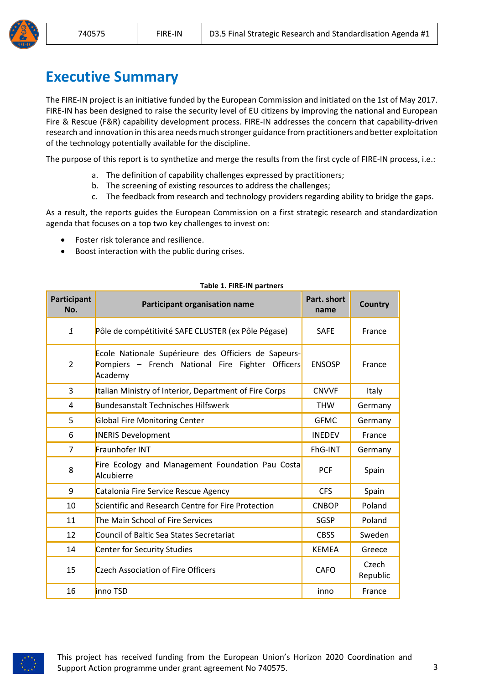

<span id="page-2-0"></span>The FIRE-IN project is an initiative funded by the European Commission and initiated on the 1st of May 2017. FIRE-IN has been designed to raise the security level of EU citizens by improving the national and European Fire & Rescue (F&R) capability development process. FIRE-IN addresses the concern that capability-driven research and innovation in this area needs much stronger guidance from practitioners and better exploitation of the technology potentially available for the discipline.

The purpose of this report is to synthetize and merge the results from the first cycle of FIRE-IN process, i.e.:

- a. The definition of capability challenges expressed by practitioners;
- b. The screening of existing resources to address the challenges;
- c. The feedback from research and technology providers regarding ability to bridge the gaps.

As a result, the reports guides the European Commission on a first strategic research and standardization agenda that focuses on a top two key challenges to invest on:

- Foster risk tolerance and resilience.
- Boost interaction with the public during crises.

| Participant<br>No. | <b>Participant organisation name</b>                                                                                | Part. short<br>name | <b>Country</b>    |
|--------------------|---------------------------------------------------------------------------------------------------------------------|---------------------|-------------------|
| $\mathbf{1}$       | Pôle de compétitivité SAFE CLUSTER (ex Pôle Pégase)                                                                 | <b>SAFE</b>         | France            |
| $\overline{2}$     | Ecole Nationale Supérieure des Officiers de Sapeurs-<br>Pompiers - French National Fire Fighter Officers<br>Academy | <b>ENSOSP</b>       | France            |
| 3                  | Italian Ministry of Interior, Department of Fire Corps                                                              | <b>CNVVF</b>        | Italy             |
| 4                  | <b>Bundesanstalt Technisches Hilfswerk</b>                                                                          | <b>THW</b>          | Germany           |
| 5                  | <b>Global Fire Monitoring Center</b>                                                                                | <b>GFMC</b>         | Germany           |
| 6                  | <b>INERIS Development</b>                                                                                           | <b>INEDEV</b>       | France            |
| 7                  | Fraunhofer INT                                                                                                      | FhG-INT             | Germany           |
| 8                  | Fire Ecology and Management Foundation Pau Costa<br>Alcubierre                                                      | <b>PCF</b>          | Spain             |
| 9                  | Catalonia Fire Service Rescue Agency                                                                                | <b>CFS</b>          | Spain             |
| 10                 | Scientific and Research Centre for Fire Protection                                                                  | <b>CNBOP</b>        | Poland            |
| 11                 | The Main School of Fire Services                                                                                    | SGSP                | Poland            |
| 12                 | <b>Council of Baltic Sea States Secretariat</b>                                                                     | <b>CBSS</b>         | Sweden            |
| 14                 | <b>Center for Security Studies</b>                                                                                  | <b>KEMEA</b>        | Greece            |
| 15                 | Czech Association of Fire Officers                                                                                  | <b>CAFO</b>         | Czech<br>Republic |
| 16                 | inno TSD                                                                                                            | inno                | France            |

#### **Table 1. FIRE-IN partners**

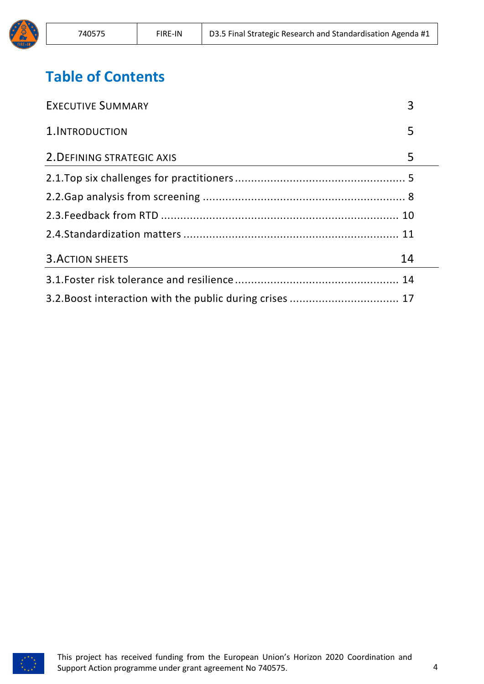# **Table of Contents**

| <b>EXECUTIVE SUMMARY</b>   | 3  |
|----------------------------|----|
| 1. INTRODUCTION            | 5  |
| 2. DEFINING STRATEGIC AXIS | 5  |
|                            |    |
|                            |    |
|                            |    |
|                            |    |
| <b>3. ACTION SHEETS</b>    | 14 |
|                            |    |
|                            |    |

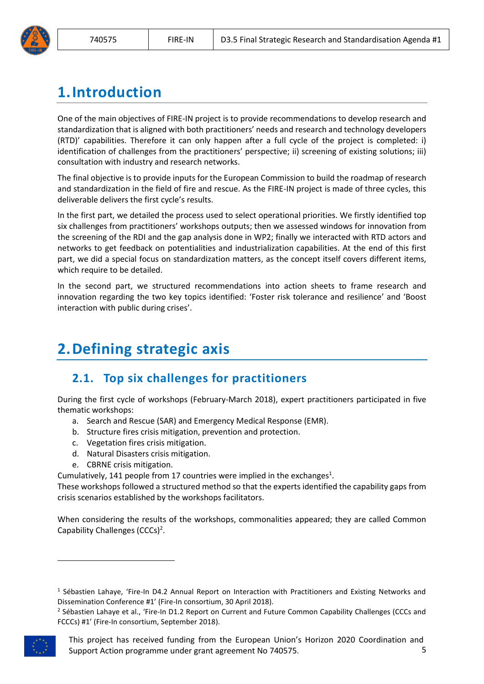

# <span id="page-4-0"></span>**1.Introduction**

One of the main objectives of FIRE-IN project is to provide recommendations to develop research and standardization that is aligned with both practitioners' needs and research and technology developers (RTD)' capabilities. Therefore it can only happen after a full cycle of the project is completed: i) identification of challenges from the practitioners' perspective; ii) screening of existing solutions; iii) consultation with industry and research networks.

The final objective is to provide inputs for the European Commission to build the roadmap of research and standardization in the field of fire and rescue. As the FIRE-IN project is made of three cycles, this deliverable delivers the first cycle's results.

In the first part, we detailed the process used to select operational priorities. We firstly identified top six challenges from practitioners' workshops outputs; then we assessed windows for innovation from the screening of the RDI and the gap analysis done in WP2; finally we interacted with RTD actors and networks to get feedback on potentialities and industrialization capabilities. At the end of this first part, we did a special focus on standardization matters, as the concept itself covers different items, which require to be detailed.

In the second part, we structured recommendations into action sheets to frame research and innovation regarding the two key topics identified: 'Foster risk tolerance and resilience' and 'Boost interaction with public during crises'.

# <span id="page-4-1"></span>**2.Defining strategic axis**

# <span id="page-4-2"></span>**2.1. Top six challenges for practitioners**

During the first cycle of workshops (February-March 2018), expert practitioners participated in five thematic workshops:

- a. Search and Rescue (SAR) and Emergency Medical Response (EMR).
- b. Structure fires crisis mitigation, prevention and protection.
- c. Vegetation fires crisis mitigation.
- d. Natural Disasters crisis mitigation.
- e. CBRNE crisis mitigation.

Cumulatively, 141 people from 17 countries were implied in the exchanges<sup>1</sup>.

These workshops followed a structured method so that the experts identified the capability gaps from crisis scenarios established by the workshops facilitators.

When considering the results of the workshops, commonalities appeared; they are called Common Capability Challenges  $(CCCs)^2$ .

<sup>&</sup>lt;sup>2</sup> Sébastien Lahaye et al., 'Fire-In D1.2 Report on Current and Future Common Capability Challenges (CCCs and FCCCs) #1' (Fire-In consortium, September 2018).



<sup>&</sup>lt;sup>1</sup> Sébastien Lahaye, 'Fire-In D4.2 Annual Report on Interaction with Practitioners and Existing Networks and Dissemination Conference #1' (Fire-In consortium, 30 April 2018).

This project has received funding from the European Union's Horizon 2020 Coordination and Support Action programme under grant agreement No 740575. 5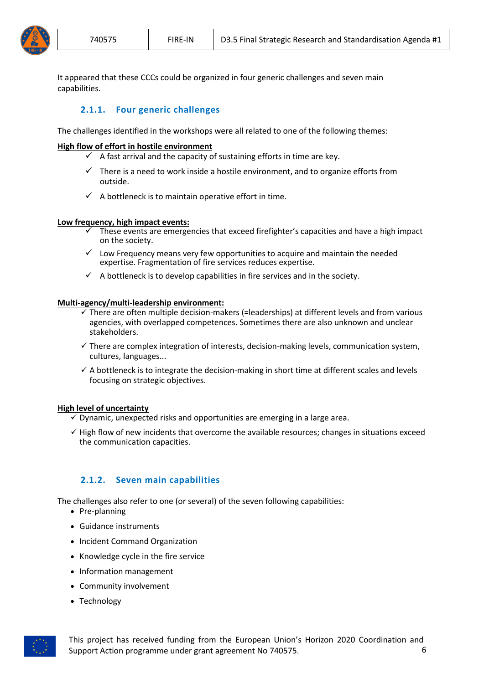

It appeared that these CCCs could be organized in four generic challenges and seven main capabilities.

## **2.1.1. Four generic challenges**

The challenges identified in the workshops were all related to one of the following themes:

#### **High flow of effort in hostile environment**

- $\checkmark$  A fast arrival and the capacity of sustaining efforts in time are key.
- $\checkmark$  There is a need to work inside a hostile environment, and to organize efforts from outside.
- $\checkmark$  A bottleneck is to maintain operative effort in time.

#### **Low frequency, high impact events:**

- These events are emergencies that exceed firefighter's capacities and have a high impact on the society.
- $\checkmark$  Low Frequency means very few opportunities to acquire and maintain the needed expertise. Fragmentation of fire services reduces expertise.
- $\checkmark$  A bottleneck is to develop capabilities in fire services and in the society.

#### **Multi-agency/multi-leadership environment:**

- $\checkmark$  There are often multiple decision-makers (=leaderships) at different levels and from various agencies, with overlapped competences. Sometimes there are also unknown and unclear stakeholders.
- $\checkmark$  There are complex integration of interests, decision-making levels, communication system, cultures, languages...
- $\checkmark$  A bottleneck is to integrate the decision-making in short time at different scales and levels focusing on strategic objectives.

#### **High level of uncertainty**

- $\checkmark$  Dynamic, unexpected risks and opportunities are emerging in a large area.
- $\checkmark$  High flow of new incidents that overcome the available resources; changes in situations exceed the communication capacities.

#### **2.1.2. Seven main capabilities**

The challenges also refer to one (or several) of the seven following capabilities:

- Pre-planning
- Guidance instruments
- Incident Command Organization
- Knowledge cycle in the fire service
- Information management
- Community involvement
- Technology

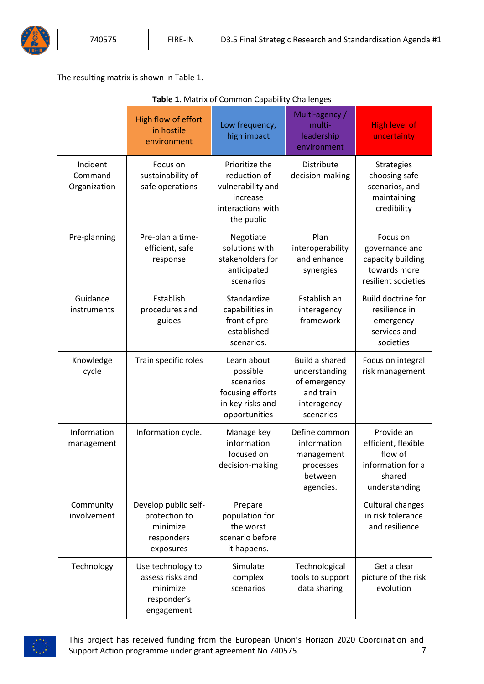The resulting matrix is shown in Table 1.

|                                     | High flow of effort<br>in hostile<br>environment                               | Low frequency,<br>high impact                                                                      | Multi-agency /<br>multi-<br>leadership<br>environment                                           | <b>High level of</b><br>uncertainty                                                          |
|-------------------------------------|--------------------------------------------------------------------------------|----------------------------------------------------------------------------------------------------|-------------------------------------------------------------------------------------------------|----------------------------------------------------------------------------------------------|
| Incident<br>Command<br>Organization | Focus on<br>sustainability of<br>safe operations                               | Prioritize the<br>reduction of<br>vulnerability and<br>increase<br>interactions with<br>the public | Distribute<br>decision-making                                                                   | <b>Strategies</b><br>choosing safe<br>scenarios, and<br>maintaining<br>credibility           |
| Pre-planning                        | Pre-plan a time-<br>efficient, safe<br>response                                | Negotiate<br>solutions with<br>stakeholders for<br>anticipated<br>scenarios                        | Plan<br>interoperability<br>and enhance<br>synergies                                            | Focus on<br>governance and<br>capacity building<br>towards more<br>resilient societies       |
| Guidance<br>instruments             | Establish<br>procedures and<br>guides                                          | Standardize<br>capabilities in<br>front of pre-<br>established<br>scenarios.                       | Establish an<br>interagency<br>framework                                                        | Build doctrine for<br>resilience in<br>emergency<br>services and<br>societies                |
| Knowledge<br>cycle                  | Train specific roles                                                           | Learn about<br>possible<br>scenarios<br>focusing efforts<br>in key risks and<br>opportunities      | <b>Build a shared</b><br>understanding<br>of emergency<br>and train<br>interagency<br>scenarios | Focus on integral<br>risk management                                                         |
| Information<br>management           | Information cycle.                                                             | Manage key<br>information<br>focused on<br>decision-making                                         | Define common<br>information<br>management<br>processes<br>between<br>agencies.                 | Provide an<br>efficient, flexible<br>flow of<br>information for a<br>shared<br>understanding |
| Community<br>involvement            | Develop public self-<br>protection to<br>minimize<br>responders<br>exposures   | Prepare<br>population for<br>the worst<br>scenario before<br>it happens.                           |                                                                                                 | Cultural changes<br>in risk tolerance<br>and resilience                                      |
| Technology                          | Use technology to<br>assess risks and<br>minimize<br>responder's<br>engagement | Simulate<br>complex<br>scenarios                                                                   | Technological<br>tools to support<br>data sharing                                               | Get a clear<br>picture of the risk<br>evolution                                              |

**Table 1.** Matrix of Common Capability Challenges



This project has received funding from the European Union's Horizon 2020 Coordination and Support Action programme under grant agreement No 740575. 7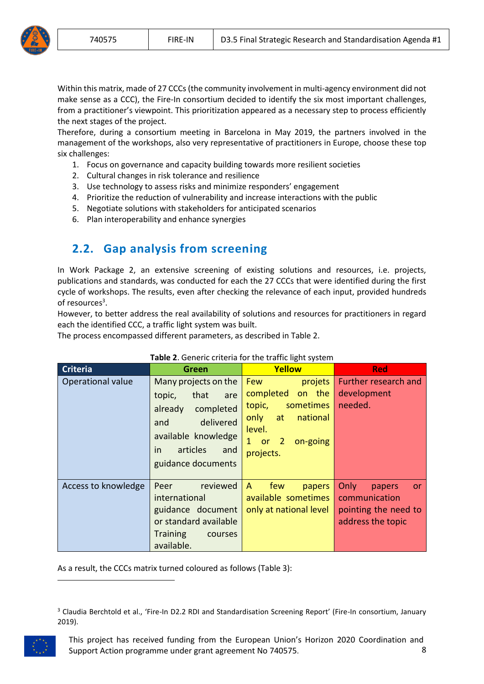

Within this matrix, made of 27 CCCs(the community involvement in multi-agency environment did not make sense as a CCC), the Fire-In consortium decided to identify the six most important challenges, from a practitioner's viewpoint. This prioritization appeared as a necessary step to process efficiently the next stages of the project.

Therefore, during a consortium meeting in Barcelona in May 2019, the partners involved in the management of the workshops, also very representative of practitioners in Europe, choose these top six challenges:

- 1. Focus on governance and capacity building towards more resilient societies
- 2. Cultural changes in risk tolerance and resilience
- 3. Use technology to assess risks and minimize responders' engagement
- 4. Prioritize the reduction of vulnerability and increase interactions with the public
- 5. Negotiate solutions with stakeholders for anticipated scenarios
- 6. Plan interoperability and enhance synergies

# <span id="page-7-0"></span>**2.2. Gap analysis from screening**

In Work Package 2, an extensive screening of existing solutions and resources, i.e. projects, publications and standards, was conducted for each the 27 CCCs that were identified during the first cycle of workshops. The results, even after checking the relevance of each input, provided hundreds of resources<sup>3</sup>.

However, to better address the real availability of solutions and resources for practitioners in regard each the identified CCC, a traffic light system was built.

The process encompassed different parameters, as described in Table 2.

| <b>Criteria</b>     | Green                                                                                                                                                            | Yellow                                                                                                                                         | <b>Red</b>                                                                                |
|---------------------|------------------------------------------------------------------------------------------------------------------------------------------------------------------|------------------------------------------------------------------------------------------------------------------------------------------------|-------------------------------------------------------------------------------------------|
| Operational value   | Many projects on the<br>topic,<br>that<br>are<br>completed<br>already<br>delivered<br>and<br>available knowledge<br>articles<br>in.<br>and<br>guidance documents | <b>Few</b><br>projets<br>completed<br>on the<br>sometimes<br>topic,<br>national<br>only<br>at<br>level.<br>$1$ or $2$<br>on-going<br>projects. | Further research and<br>development<br>needed.                                            |
| Access to knowledge | reviewed<br>Peer<br>international<br>guidance document<br>or standard available<br><b>Training</b><br>courses<br>available.                                      | few<br>$\mathsf{A}$<br>papers<br>available sometimes<br>only at national level                                                                 | Only<br>papers<br><b>or</b><br>communication<br>pointing the need to<br>address the topic |

#### **Table 2**. Generic criteria for the traffic light system

As a result, the CCCs matrix turned coloured as follows (Table 3):

<sup>&</sup>lt;sup>3</sup> Claudia Berchtold et al., 'Fire-In D2.2 RDI and Standardisation Screening Report' (Fire-In consortium, January 2019).



This project has received funding from the European Union's Horizon 2020 Coordination and Support Action programme under grant agreement No 740575. 8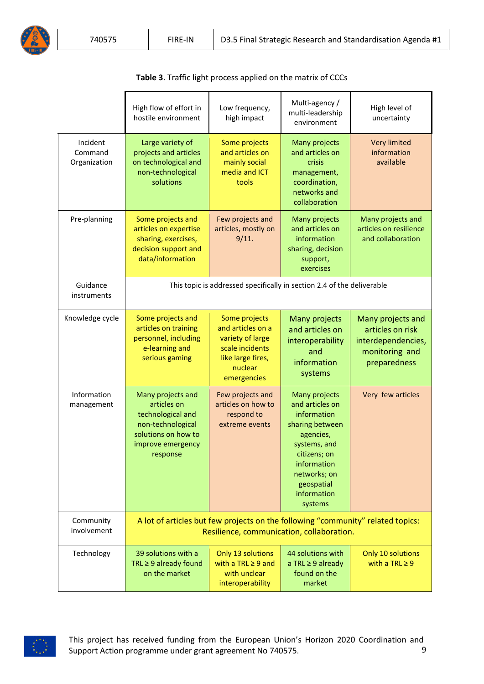|                                     | High flow of effort in<br>hostile environment                                                                                      | Low frequency,<br>high impact                                                                                            | Multi-agency /<br>multi-leadership<br>environment                                                                                                                                      | High level of<br>uncertainty                                                                  |
|-------------------------------------|------------------------------------------------------------------------------------------------------------------------------------|--------------------------------------------------------------------------------------------------------------------------|----------------------------------------------------------------------------------------------------------------------------------------------------------------------------------------|-----------------------------------------------------------------------------------------------|
| Incident<br>Command<br>Organization | Large variety of<br>projects and articles<br>on technological and<br>non-technological<br>solutions                                | Some projects<br>and articles on<br>mainly social<br>media and ICT<br>tools                                              | Many projects<br>and articles on<br>crisis<br>management,<br>coordination,<br>networks and<br>collaboration                                                                            | <b>Very limited</b><br>information<br>available                                               |
| Pre-planning                        | Some projects and<br>articles on expertise<br>sharing, exercises,<br>decision support and<br>data/information                      | Few projects and<br>articles, mostly on<br>9/11.                                                                         | Many projects<br>and articles on<br>information<br>sharing, decision<br>support,<br>exercises                                                                                          | Many projects and<br>articles on resilience<br>and collaboration                              |
| Guidance<br>instruments             |                                                                                                                                    | This topic is addressed specifically in section 2.4 of the deliverable                                                   |                                                                                                                                                                                        |                                                                                               |
| Knowledge cycle                     | Some projects and<br>articles on training<br>personnel, including<br>e-learning and<br>serious gaming                              | Some projects<br>and articles on a<br>variety of large<br>scale incidents<br>like large fires,<br>nuclear<br>emergencies | Many projects<br>and articles on<br>interoperability<br>and<br>information<br>systems                                                                                                  | Many projects and<br>articles on risk<br>interdependencies,<br>monitoring and<br>preparedness |
| Information<br>management           | Many projects and<br>articles on<br>technological and<br>non-technological<br>solutions on how to<br>improve emergency<br>response | Few projects and<br>articles on how to<br>respond to<br>extreme events                                                   | Many projects<br>and articles on<br>information<br>sharing between<br>agencies,<br>systems, and<br>citizens; on<br>information<br>networks; on<br>geospatial<br>information<br>systems | Very few articles                                                                             |
| Community<br>involvement            | A lot of articles but few projects on the following "community" related topics:<br>Resilience, communication, collaboration.       |                                                                                                                          |                                                                                                                                                                                        |                                                                                               |
| Technology                          | 39 solutions with a<br>TRL $\geq$ 9 already found<br>on the market                                                                 | Only 13 solutions<br>with a TRL $\geq$ 9 and<br>with unclear<br>interoperability                                         | 44 solutions with<br>a TRL $\geq$ 9 already<br>found on the<br>market                                                                                                                  | <b>Only 10 solutions</b><br>with a TRL $\geq$ 9                                               |

**Table 3**. Traffic light process applied on the matrix of CCCs

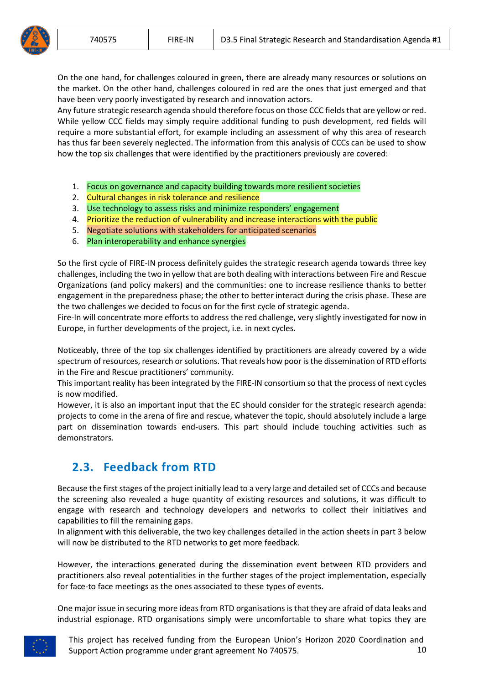On the one hand, for challenges coloured in green, there are already many resources or solutions on the market. On the other hand, challenges coloured in red are the ones that just emerged and that have been very poorly investigated by research and innovation actors.

Any future strategic research agenda should therefore focus on those CCC fields that are yellow or red. While yellow CCC fields may simply require additional funding to push development, red fields will require a more substantial effort, for example including an assessment of why this area of research has thus far been severely neglected. The information from this analysis of CCCs can be used to show how the top six challenges that were identified by the practitioners previously are covered:

- 1. Focus on governance and capacity building towards more resilient societies
- 2. Cultural changes in risk tolerance and resilience
- 3. Use technology to assess risks and minimize responders' engagement
- 4. Prioritize the reduction of vulnerability and increase interactions with the public
- 5. Negotiate solutions with stakeholders for anticipated scenarios
- 6. Plan interoperability and enhance synergies

So the first cycle of FIRE-IN process definitely guides the strategic research agenda towards three key challenges, including the two in yellow that are both dealing with interactions between Fire and Rescue Organizations (and policy makers) and the communities: one to increase resilience thanks to better engagement in the preparedness phase; the other to better interact during the crisis phase. These are the two challenges we decided to focus on for the first cycle of strategic agenda.

Fire-In will concentrate more efforts to address the red challenge, very slightly investigated for now in Europe, in further developments of the project, i.e. in next cycles.

Noticeably, three of the top six challenges identified by practitioners are already covered by a wide spectrum of resources, research or solutions. That reveals how poor is the dissemination of RTD efforts in the Fire and Rescue practitioners' community.

This important reality has been integrated by the FIRE-IN consortium so that the process of next cycles is now modified.

However, it is also an important input that the EC should consider for the strategic research agenda: projects to come in the arena of fire and rescue, whatever the topic, should absolutely include a large part on dissemination towards end-users. This part should include touching activities such as demonstrators.

# <span id="page-9-0"></span>**2.3. Feedback from RTD**

Because the first stages of the project initially lead to a very large and detailed set of CCCs and because the screening also revealed a huge quantity of existing resources and solutions, it was difficult to engage with research and technology developers and networks to collect their initiatives and capabilities to fill the remaining gaps.

In alignment with this deliverable, the two key challenges detailed in the action sheets in part 3 below will now be distributed to the RTD networks to get more feedback.

However, the interactions generated during the dissemination event between RTD providers and practitioners also reveal potentialities in the further stages of the project implementation, especially for face-to face meetings as the ones associated to these types of events.

One major issue in securing more ideas from RTD organisations is that they are afraid of data leaks and industrial espionage. RTD organisations simply were uncomfortable to share what topics they are

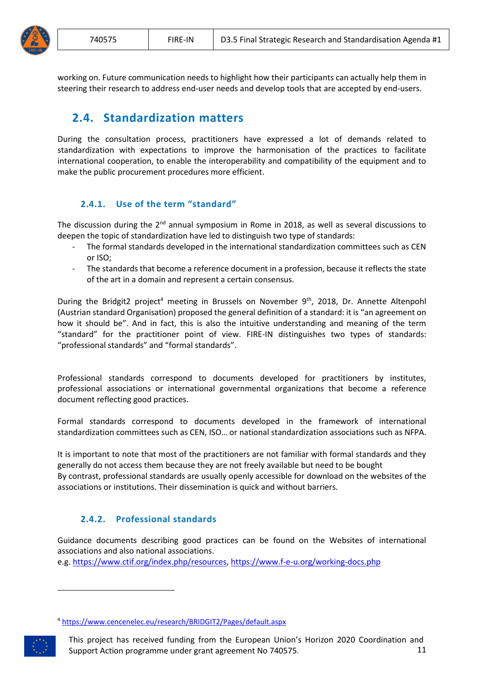

working on. Future communication needs to highlight how their participants can actually help them in steering their research to address end-user needs and develop tools that are accepted by end-users.

# <span id="page-10-0"></span>**2.4. Standardization matters**

During the consultation process, practitioners have expressed a lot of demands related to standardization with expectations to improve the harmonisation of the practices to facilitate international cooperation, to enable the interoperability and compatibility of the equipment and to make the public procurement procedures more efficient.

## **2.4.1. Use of the term "standard"**

The discussion during the  $2<sup>nd</sup>$  annual symposium in Rome in 2018, as well as several discussions to deepen the topic of standardization have led to distinguish two type of standards:

- The formal standards developed in the international standardization committees such as CEN or ISO;
- The standards that become a reference document in a profession, because it reflects the state of the art in a domain and represent a certain consensus.

During the Bridgit2 project<sup>4</sup> meeting in Brussels on November 9<sup>th</sup>, 2018, Dr. Annette Altenpohl (Austrian standard Organisation) proposed the general definition of a standard: it is "an agreement on how it should be". And in fact, this is also the intuitive understanding and meaning of the term "standard" for the practitioner point of view. FIRE-IN distinguishes two types of standards: "professional standards" and "formal standards".

Professional standards correspond to documents developed for practitioners by institutes, professional associations or international governmental organizations that become a reference document reflecting good practices.

Formal standards correspond to documents developed in the framework of international standardization committees such as CEN, ISO… or national standardization associations such as NFPA.

It is important to note that most of the practitioners are not familiar with formal standards and they generally do not access them because they are not freely available but need to be bought By contrast, professional standards are usually openly accessible for download on the websites of the associations or institutions. Their dissemination is quick and without barriers.

## **2.4.2. Professional standards**

Guidance documents describing good practices can be found on the Websites of international associations and also national associations.

e.g[. https://www.ctif.org/index.php/resources,](https://www.ctif.org/index.php/resources)<https://www.f-e-u.org/working-docs.php>

<sup>4</sup> <https://www.cencenelec.eu/research/BRIDGIT2/Pages/default.aspx>



1

This project has received funding from the European Union's Horizon 2020 Coordination and Support Action programme under grant agreement No 740575. 11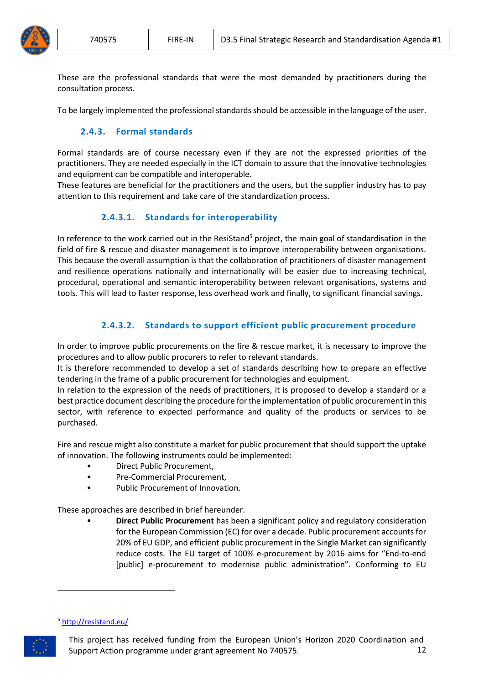

These are the professional standards that were the most demanded by practitioners during the consultation process.

To be largely implemented the professional standards should be accessible in the language of the user.

#### **2.4.3. Formal standards**

Formal standards are of course necessary even if they are not the expressed priorities of the practitioners. They are needed especially in the ICT domain to assure that the innovative technologies and equipment can be compatible and interoperable.

These features are beneficial for the practitioners and the users, but the supplier industry has to pay attention to this requirement and take care of the standardization process.

## **2.4.3.1. Standards for interoperability**

In reference to the work carried out in the ResiStand<sup>5</sup> project, the main goal of standardisation in the field of fire & rescue and disaster management is to improve interoperability between organisations. This because the overall assumption is that the collaboration of practitioners of disaster management and resilience operations nationally and internationally will be easier due to increasing technical, procedural, operational and semantic interoperability between relevant organisations, systems and tools. This will lead to faster response, less overhead work and finally, to significant financial savings.

## **2.4.3.2. Standards to support efficient public procurement procedure**

In order to improve public procurements on the fire & rescue market, it is necessary to improve the procedures and to allow public procurers to refer to relevant standards.

It is therefore recommended to develop a set of standards describing how to prepare an effective tendering in the frame of a public procurement for technologies and equipment.

In relation to the expression of the needs of practitioners, it is proposed to develop a standard or a best practice document describing the procedure for the implementation of public procurement in this sector, with reference to expected performance and quality of the products or services to be purchased.

Fire and rescue might also constitute a market for public procurement that should support the uptake of innovation. The following instruments could be implemented:

- Direct Public Procurement,
- Pre‐Commercial Procurement,
- Public Procurement of Innovation.

These approaches are described in brief hereunder.

• **Direct Public Procurement** has been a significant policy and regulatory consideration for the European Commission (EC) for over a decade. Public procurement accounts for 20% of EU GDP, and efficient public procurement in the Single Market can significantly reduce costs. The EU target of 100% e‐procurement by 2016 aims for "End‐to‐end [public] e‐procurement to modernise public administration". Conforming to EU

#### <sup>5</sup> <http://resistand.eu/>



1

This project has received funding from the European Union's Horizon 2020 Coordination and Support Action programme under grant agreement No 740575. 12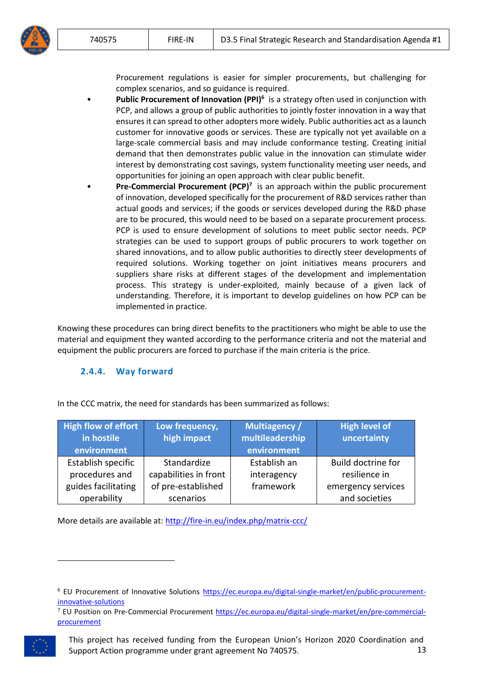

Procurement regulations is easier for simpler procurements, but challenging for complex scenarios, and so guidance is required.

- **•** Public Procurement of Innovation (PPI)<sup>6</sup> is a strategy often used in conjunction with PCP, and allows a group of public authorities to jointly foster innovation in a way that ensures it can spread to other adopters more widely. Public authorities act as a launch customer for innovative goods or services. These are typically not yet available on a large-scale commercial basis and may include conformance testing. Creating initial demand that then demonstrates public value in the innovation can stimulate wider interest by demonstrating cost savings, system functionality meeting user needs, and opportunities for joining an open approach with clear public benefit.
- **Pre-Commercial Procurement (PCP)<sup>7</sup>** is an approach within the public procurement of innovation, developed specifically for the procurement of R&D services rather than actual goods and services; if the goods or services developed during the R&D phase are to be procured, this would need to be based on a separate procurement process. PCP is used to ensure development of solutions to meet public sector needs. PCP strategies can be used to support groups of public procurers to work together on shared innovations, and to allow public authorities to directly steer developments of required solutions. Working together on joint initiatives means procurers and suppliers share risks at different stages of the development and implementation process. This strategy is under‐exploited, mainly because of a given lack of understanding. Therefore, it is important to develop guidelines on how PCP can be implemented in practice.

Knowing these procedures can bring direct benefits to the practitioners who might be able to use the material and equipment they wanted according to the performance criteria and not the material and equipment the public procurers are forced to purchase if the main criteria is the price.

#### **2.4.4. Way forward**

| <b>High flow of effort</b> | Low frequency,        | Multiagency /   | <b>High level of</b> |
|----------------------------|-----------------------|-----------------|----------------------|
| in hostile                 | high impact           | multileadership | uncertainty          |
| environment                |                       | environment     |                      |
| Establish specific         | Standardize           | Establish an    | Build doctrine for   |
| procedures and             | capabilities in front | interagency     | resilience in        |
| guides facilitating        | of pre-established    | framework       | emergency services   |
| operability                | scenarios             |                 | and societies        |

In the CCC matrix, the need for standards has been summarized as follows:

More details are available at:<http://fire-in.eu/index.php/matrix-ccc/>

<sup>7</sup> EU Position on Pre-Commercial Procurement [https://ec.europa.eu/digital](https://ec.europa.eu/digital‐single‐market/en/pre‐commercial‐procurement)-single-market/en/pre-commercial[procurement](https://ec.europa.eu/digital‐single‐market/en/pre‐commercial‐procurement)



<sup>6</sup> EU Procurement of Innovative Solutions [https://ec.europa.eu/digital‐single‐market/en/public‐procurement‐](https://ec.europa.eu/digital‐single‐market/en/public‐procurement‐innovative‐solutions) [innovative‐solutions](https://ec.europa.eu/digital‐single‐market/en/public‐procurement‐innovative‐solutions)

This project has received funding from the European Union's Horizon 2020 Coordination and Support Action programme under grant agreement No 740575. 13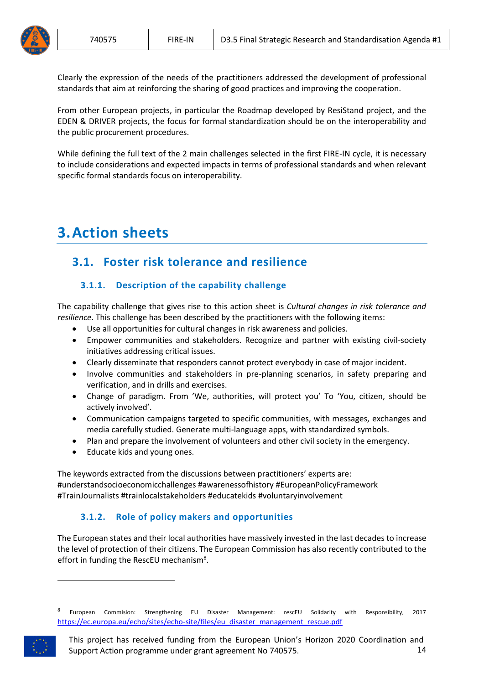

Clearly the expression of the needs of the practitioners addressed the development of professional standards that aim at reinforcing the sharing of good practices and improving the cooperation.

From other European projects, in particular the Roadmap developed by ResiStand project, and the EDEN & DRIVER projects, the focus for formal standardization should be on the interoperability and the public procurement procedures.

While defining the full text of the 2 main challenges selected in the first FIRE-IN cycle, it is necessary to include considerations and expected impacts in terms of professional standards and when relevant specific formal standards focus on interoperability.

# <span id="page-13-0"></span>**3.Action sheets**

# <span id="page-13-1"></span>**3.1. Foster risk tolerance and resilience**

# **3.1.1. Description of the capability challenge**

The capability challenge that gives rise to this action sheet is *Cultural changes in risk tolerance and resilience*. This challenge has been described by the practitioners with the following items:

- Use all opportunities for cultural changes in risk awareness and policies.
- Empower communities and stakeholders. Recognize and partner with existing civil-society initiatives addressing critical issues.
- Clearly disseminate that responders cannot protect everybody in case of major incident.
- Involve communities and stakeholders in pre-planning scenarios, in safety preparing and verification, and in drills and exercises.
- Change of paradigm. From 'We, authorities, will protect you' To 'You, citizen, should be actively involved'.
- Communication campaigns targeted to specific communities, with messages, exchanges and media carefully studied. Generate multi-language apps, with standardized symbols.
- Plan and prepare the involvement of volunteers and other civil society in the emergency.
- Educate kids and young ones.

The keywords extracted from the discussions between practitioners' experts are: #understandsocioeconomicchallenges #awarenessofhistory #EuropeanPolicyFramework #TrainJournalists #trainlocalstakeholders #educatekids #voluntaryinvolvement

## **3.1.2. Role of policy makers and opportunities**

The European states and their local authorities have massively invested in the last decades to increase the level of protection of their citizens. The European Commission has also recently contributed to the effort in funding the RescEU mechanism<sup>8</sup>.

<sup>8</sup> European Commision: Strengthening EU Disaster Management: rescEU Solidarity with Responsibility, 2017 [https://ec.europa.eu/echo/sites/echo-site/files/eu\\_disaster\\_management\\_rescue.pdf](https://ec.europa.eu/echo/sites/echo-site/files/eu_disaster_management_rescue.pdf)



This project has received funding from the European Union's Horizon 2020 Coordination and Support Action programme under grant agreement No 740575. 14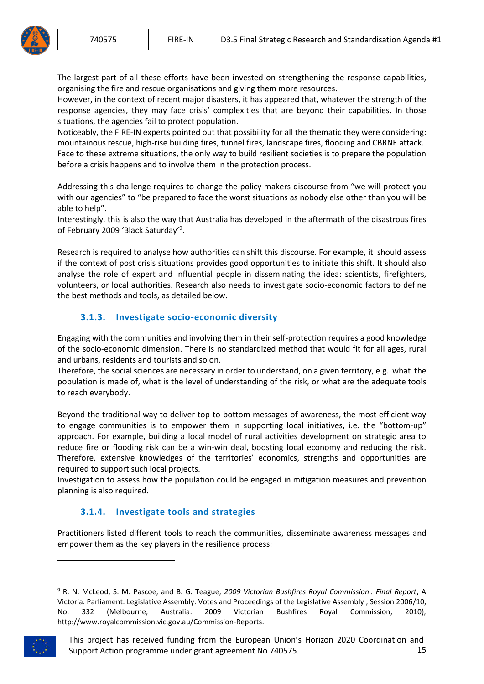The largest part of all these efforts have been invested on strengthening the response capabilities, organising the fire and rescue organisations and giving them more resources.

However, in the context of recent major disasters, it has appeared that, whatever the strength of the response agencies, they may face crisis' complexities that are beyond their capabilities. In those situations, the agencies fail to protect population.

Noticeably, the FIRE-IN experts pointed out that possibility for all the thematic they were considering: mountainous rescue, high-rise building fires, tunnel fires, landscape fires, flooding and CBRNE attack. Face to these extreme situations, the only way to build resilient societies is to prepare the population before a crisis happens and to involve them in the protection process.

Addressing this challenge requires to change the policy makers discourse from "we will protect you with our agencies" to "be prepared to face the worst situations as nobody else other than you will be able to help".

Interestingly, this is also the way that Australia has developed in the aftermath of the disastrous fires of February 2009 'Black Saturday'<sup>9</sup>.

Research is required to analyse how authorities can shift this discourse. For example, it should assess if the context of post crisis situations provides good opportunities to initiate this shift. It should also analyse the role of expert and influential people in disseminating the idea: scientists, firefighters, volunteers, or local authorities. Research also needs to investigate socio-economic factors to define the best methods and tools, as detailed below.

## **3.1.3. Investigate socio-economic diversity**

Engaging with the communities and involving them in their self-protection requires a good knowledge of the socio-economic dimension. There is no standardized method that would fit for all ages, rural and urbans, residents and tourists and so on.

Therefore, the social sciences are necessary in order to understand, on a given territory, e.g. what the population is made of, what is the level of understanding of the risk, or what are the adequate tools to reach everybody.

Beyond the traditional way to deliver top-to-bottom messages of awareness, the most efficient way to engage communities is to empower them in supporting local initiatives, i.e. the "bottom-up" approach. For example, building a local model of rural activities development on strategic area to reduce fire or flooding risk can be a win-win deal, boosting local economy and reducing the risk. Therefore, extensive knowledges of the territories' economics, strengths and opportunities are required to support such local projects.

Investigation to assess how the population could be engaged in mitigation measures and prevention planning is also required.

#### **3.1.4. Investigate tools and strategies**

Practitioners listed different tools to reach the communities, disseminate awareness messages and empower them as the key players in the resilience process:

<sup>9</sup> R. N. McLeod, S. M. Pascoe, and B. G. Teague, *2009 Victorian Bushfires Royal Commission : Final Report*, A Victoria. Parliament. Legislative Assembly. Votes and Proceedings of the Legislative Assembly ; Session 2006/10, No. 332 (Melbourne, Australia: 2009 Victorian Bushfires Royal Commission, 2010), http://www.royalcommission.vic.gov.au/Commission-Reports.

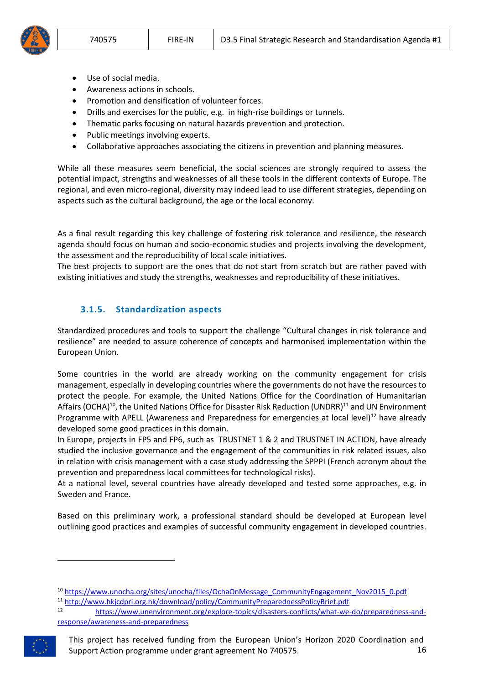

- Use of social media.
- Awareness actions in schools.
- Promotion and densification of volunteer forces.
- Drills and exercises for the public, e.g. in high-rise buildings or tunnels.
- Thematic parks focusing on natural hazards prevention and protection.
- Public meetings involving experts.
- Collaborative approaches associating the citizens in prevention and planning measures.

While all these measures seem beneficial, the social sciences are strongly required to assess the potential impact, strengths and weaknesses of all these tools in the different contexts of Europe. The regional, and even micro-regional, diversity may indeed lead to use different strategies, depending on aspects such as the cultural background, the age or the local economy.

As a final result regarding this key challenge of fostering risk tolerance and resilience, the research agenda should focus on human and socio-economic studies and projects involving the development, the assessment and the reproducibility of local scale initiatives.

The best projects to support are the ones that do not start from scratch but are rather paved with existing initiatives and study the strengths, weaknesses and reproducibility of these initiatives.

## **3.1.5. Standardization aspects**

Standardized procedures and tools to support the challenge "Cultural changes in risk tolerance and resilience" are needed to assure coherence of concepts and harmonised implementation within the European Union.

Some countries in the world are already working on the community engagement for crisis management, especially in developing countries where the governments do not have the resources to protect the people. For example, the United Nations Office for the Coordination of Humanitarian Affairs (OCHA)<sup>10</sup>, the United Nations Office for Disaster Risk Reduction (UNDRR)<sup>11</sup> and UN Environment Programme with APELL (Awareness and Preparedness for emergencies at local level)<sup>12</sup> have already developed some good practices in this domain.

In Europe, projects in FP5 and FP6, such as TRUSTNET 1 & 2 and TRUSTNET IN ACTION, have already studied the inclusive governance and the engagement of the communities in risk related issues, also in relation with crisis management with a case study addressing the SPPPI (French acronym about the prevention and preparedness local committees for technological risks).

At a national level, several countries have already developed and tested some approaches, e.g. in Sweden and France.

Based on this preliminary work, a professional standard should be developed at European level outlining good practices and examples of successful community engagement in developed countries.

[response/awareness-and-preparedness](https://www.unenvironment.org/explore-topics/disasters-conflicts/what-we-do/preparedness-and-response/awareness-and-preparedness)



<sup>&</sup>lt;sup>10</sup> [https://www.unocha.org/sites/unocha/files/OchaOnMessage\\_CommunityEngagement\\_Nov2015\\_0.pdf](https://www.unocha.org/sites/unocha/files/OchaOnMessage_CommunityEngagement_Nov2015_0.pdf) <sup>11</sup> <http://www.hkjcdpri.org.hk/download/policy/CommunityPreparednessPolicyBrief.pdf>

<sup>12</sup> [https://www.unenvironment.org/explore-topics/disasters-conflicts/what-we-do/preparedness-and-](https://www.unenvironment.org/explore-topics/disasters-conflicts/what-we-do/preparedness-and-response/awareness-and-preparedness)

This project has received funding from the European Union's Horizon 2020 Coordination and Support Action programme under grant agreement No 740575. 16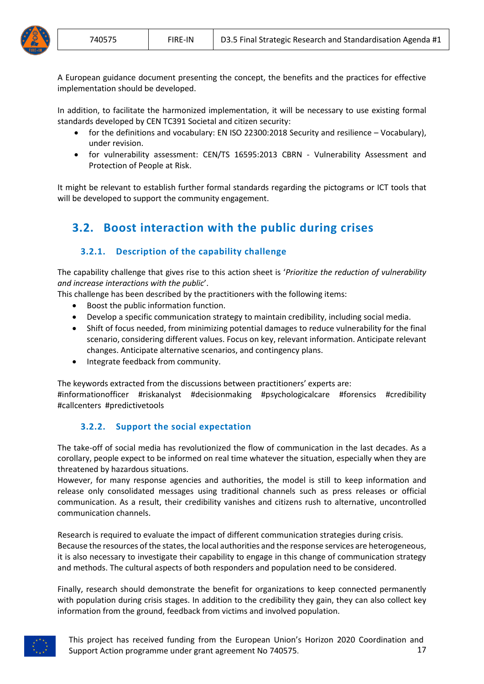A European guidance document presenting the concept, the benefits and the practices for effective implementation should be developed.

In addition, to facilitate the harmonized implementation, it will be necessary to use existing formal standards developed by CEN TC391 Societal and citizen security:

- for the definitions and vocabulary: EN ISO 22300:2018 Security and resilience Vocabulary), under revision.
- for vulnerability assessment: CEN/TS 16595:2013 CBRN Vulnerability Assessment and Protection of People at Risk.

It might be relevant to establish further formal standards regarding the pictograms or ICT tools that will be developed to support the community engagement.

# <span id="page-16-0"></span>**3.2. Boost interaction with the public during crises**

## **3.2.1. Description of the capability challenge**

The capability challenge that gives rise to this action sheet is '*Prioritize the reduction of vulnerability and increase interactions with the public*'.

This challenge has been described by the practitioners with the following items:

- Boost the public information function.
- Develop a specific communication strategy to maintain credibility, including social media.
- Shift of focus needed, from minimizing potential damages to reduce vulnerability for the final scenario, considering different values. Focus on key, relevant information. Anticipate relevant changes. Anticipate alternative scenarios, and contingency plans.
- Integrate feedback from community.

The keywords extracted from the discussions between practitioners' experts are:

#informationofficer #riskanalyst #decisionmaking #psychologicalcare #forensics #credibility #callcenters #predictivetools

#### **3.2.2. Support the social expectation**

The take-off of social media has revolutionized the flow of communication in the last decades. As a corollary, people expect to be informed on real time whatever the situation, especially when they are threatened by hazardous situations.

However, for many response agencies and authorities, the model is still to keep information and release only consolidated messages using traditional channels such as press releases or official communication. As a result, their credibility vanishes and citizens rush to alternative, uncontrolled communication channels.

Research is required to evaluate the impact of different communication strategies during crisis. Because the resources of the states, the local authorities and the response services are heterogeneous, it is also necessary to investigate their capability to engage in this change of communication strategy and methods. The cultural aspects of both responders and population need to be considered.

Finally, research should demonstrate the benefit for organizations to keep connected permanently with population during crisis stages. In addition to the credibility they gain, they can also collect key information from the ground, feedback from victims and involved population.

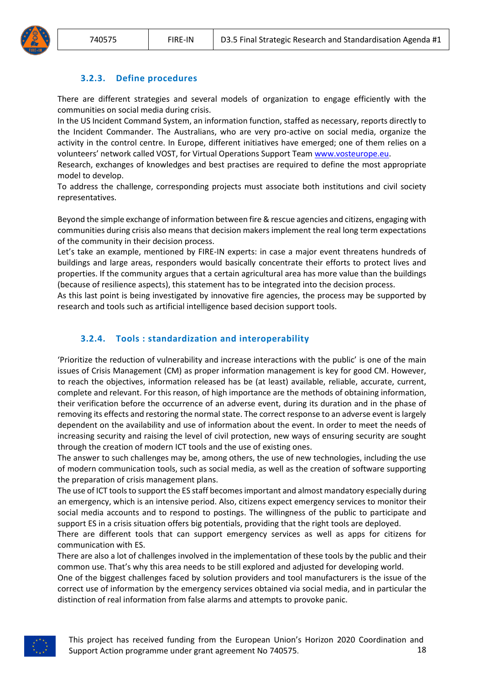## **3.2.3. Define procedures**

There are different strategies and several models of organization to engage efficiently with the communities on social media during crisis.

In the US Incident Command System, an information function, staffed as necessary, reports directly to the Incident Commander. The Australians, who are very pro-active on social media, organize the activity in the control centre. In Europe, different initiatives have emerged; one of them relies on a volunteers' network called VOST, for Virtual Operations Support Team [www.vosteurope.eu.](http://www.vosteurope.eu/)

Research, exchanges of knowledges and best practises are required to define the most appropriate model to develop.

To address the challenge, corresponding projects must associate both institutions and civil society representatives.

Beyond the simple exchange of information between fire & rescue agencies and citizens, engaging with communities during crisis also means that decision makers implement the real long term expectations of the community in their decision process.

Let's take an example, mentioned by FIRE-IN experts: in case a major event threatens hundreds of buildings and large areas, responders would basically concentrate their efforts to protect lives and properties. If the community argues that a certain agricultural area has more value than the buildings (because of resilience aspects), this statement has to be integrated into the decision process.

As this last point is being investigated by innovative fire agencies, the process may be supported by research and tools such as artificial intelligence based decision support tools.

#### **3.2.4. Tools : standardization and interoperability**

'Prioritize the reduction of vulnerability and increase interactions with the public' is one of the main issues of Crisis Management (CM) as proper information management is key for good CM. However, to reach the objectives, information released has be (at least) available, reliable, accurate, current, complete and relevant. For this reason, of high importance are the methods of obtaining information, their verification before the occurrence of an adverse event, during its duration and in the phase of removing its effects and restoring the normal state. The correct response to an adverse event is largely dependent on the availability and use of information about the event. In order to meet the needs of increasing security and raising the level of civil protection, new ways of ensuring security are sought through the creation of modern ICT tools and the use of existing ones.

The answer to such challenges may be, among others, the use of new technologies, including the use of modern communication tools, such as social media, as well as the creation of software supporting the preparation of crisis management plans.

The use of ICT tools to support the ES staff becomes important and almost mandatory especially during an emergency, which is an intensive period. Also, citizens expect emergency services to monitor their social media accounts and to respond to postings. The willingness of the public to participate and support ES in a crisis situation offers big potentials, providing that the right tools are deployed.

There are different tools that can support emergency services as well as apps for citizens for communication with ES.

There are also a lot of challenges involved in the implementation of these tools by the public and their common use. That's why this area needs to be still explored and adjusted for developing world.

One of the biggest challenges faced by solution providers and tool manufacturers is the issue of the correct use of information by the emergency services obtained via social media, and in particular the distinction of real information from false alarms and attempts to provoke panic.